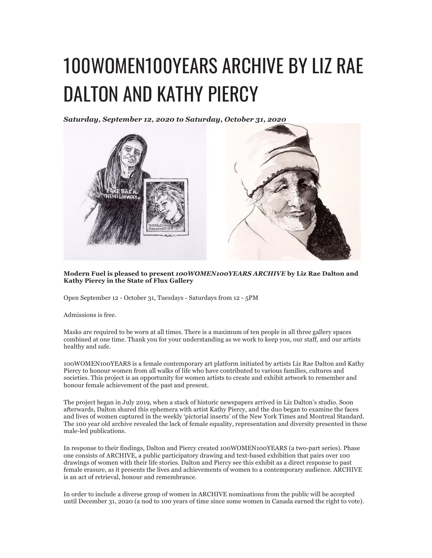## 100WOMEN100YEARS ARCHIVE BY LIZ RAE DALTON AND KATHY PIERCY

*Saturday, September 12, 2020 to Saturday, October 31, 2020*



**Modern Fuel is pleased to present** *100WOMEN100YEARS ARCHIVE* **by Liz Rae Dalton and Kathy Piercy in the State of Flux Gallery**

Open September 12 - October 31, Tuesdays - Saturdays from 12 - 5PM

Admissions is free.

Masks are required to be worn at all times. There is a maximum of ten people in all three gallery spaces combined at one time. Thank you for your understanding as we work to keep you, our staff, and our artists healthy and safe.

100WOMEN100YEARS is a female contemporary art platform initiated by artists Liz Rae Dalton and Kathy Piercy to honour women from all walks of life who have contributed to various families, cultures and societies. This project is an opportunity for women artists to create and exhibit artwork to remember and honour female achievement of the past and present.

The project began in July 2019, when a stack of historic newspapers arrived in Liz Dalton's studio. Soon afterwards, Dalton shared this ephemera with artist Kathy Piercy, and the duo began to examine the faces and lives of women captured in the weekly 'pictorial inserts' of the New York Times and Montreal Standard. The 100 year old archive revealed the lack of female equality, representation and diversity presented in these male-led publications.

In response to their findings, Dalton and Piercy created 100WOMEN100YEARS (a two-part series). Phase one consists of ARCHIVE, a public participatory drawing and text-based exhibition that pairs over 100 drawings of women with their life stories. Dalton and Piercy see this exhibit as a direct response to past female erasure, as it presents the lives and achievements of women to a contemporary audience. ARCHIVE is an act of retrieval, honour and remembrance.

In order to include a diverse group of women in ARCHIVE nominations from the public will be accepted until December 31, 2020 (a nod to 100 years of time since some women in Canada earned the right to vote).